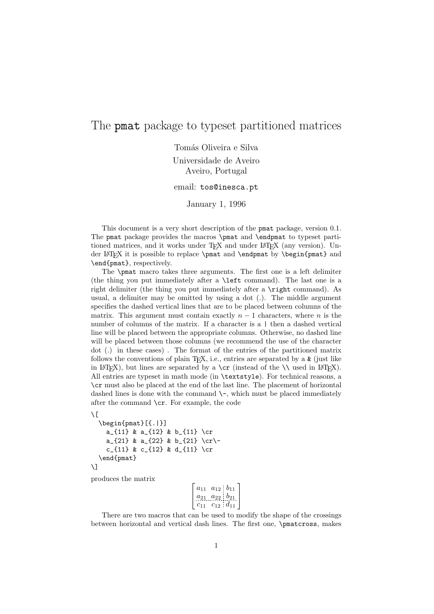## The pmat package to typeset partitioned matrices

Tomás Oliveira e Silva

Universidade de Aveiro Aveiro, Portugal

email: tos@inesca.pt

January 1, 1996

This document is a very short description of the pmat package, version 0.1. The pmat package provides the macros \pmat and \endpmat to typeset partitioned matrices, and it works under  $T_F X$  and under  $L_F X$  (any version). Under L<sup>A</sup>T<sub>E</sub>X it is possible to replace \pmat and \endpmat by \begin{pmat} and \end{pmat}, respectively.

The \pmat macro takes three arguments. The first one is a left delimiter (the thing you put immediately after a \left command). The last one is a right delimiter (the thing you put immediately after a \right command). As usual, a delimiter may be omitted by using a dot (.). The middle argument specifies the dashed vertical lines that are to be placed between columns of the matrix. This argument must contain exactly  $n-1$  characters, where n is the number of columns of the matrix. If a character is a  $\vert$  then a dashed vertical line will be placed between the appropriate columns. Otherwise, no dashed line will be placed between those columns (we recommend the use of the character dot (.) in these cases) . The format of the entries of the partitioned matrix follows the conventions of plain T<sub>E</sub>X, i.e., entries are separated by a  $\boldsymbol{\ell}$  (just like in LAT<sub>EX</sub>), but lines are separated by a  $\cr$  (instead of the  $\setminus \$ used in LAT<sub>EX</sub>). All entries are typeset in math mode (in \textstyle). For technical reasons, a \cr must also be placed at the end of the last line. The placement of horizontal dashed lines is done with the command  $\setminus$ -, which must be placed immediately after the command \cr. For example, the code

```
\sqrt{ }\begin{pmat}[{.|}]
    a_{11} & a_{12} & b_{11} \cr
    a_{21} & a_{22} & b_{21} \cr\-
    c_{11} & c_{12} & d_{11} \cr
  \end{pmat}
\setminus
```
produces the matrix

| $a_{11}$ | $a_{12}$ $b_{11}$   |  |
|----------|---------------------|--|
| $a_{21}$ | $a_{22}$ $b_{21}$   |  |
| C1       | $c_{12}$ : $d_{11}$ |  |

There are two macros that can be used to modify the shape of the crossings between horizontal and vertical dash lines. The first one, \pmatcross, makes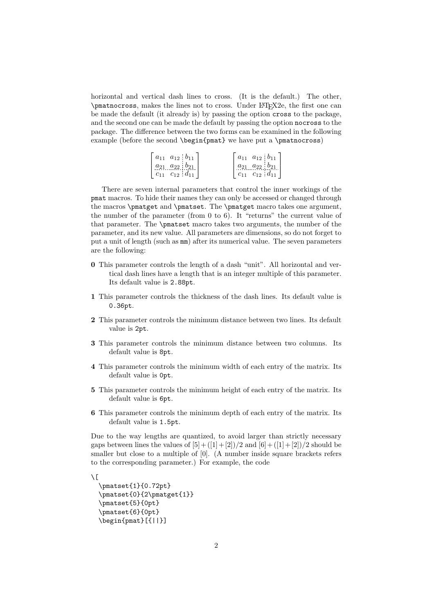horizontal and vertical dash lines to cross. (It is the default.) The other, \pmatnocross, makes the lines not to cross. Under LATEX2e, the first one can be made the default (it already is) by passing the option cross to the package, and the second one can be made the default by passing the option nocross to the package. The difference between the two forms can be examined in the following example (before the second \begin{pmat} we have put a \pmatnocross)

| $ a_{11} \t a_{12}  b_{11}$ | $ a_{11} \t a_{12} \t b_{11} $ |
|-----------------------------|--------------------------------|
| $a_{21} a_{22} b_{21}$      | $a_{21} a_{22} b_{21}$         |
| $c_{11}$ $c_{12}$ $d_{11}$  | $c_{11}$ $c_{12}$ $d_{11}$     |

There are seven internal parameters that control the inner workings of the pmat macros. To hide their names they can only be accessed or changed through the macros \pmatget and \pmatset. The \pmatget macro takes one argument, the number of the parameter (from 0 to 6). It "returns" the current value of that parameter. The \pmatset macro takes two arguments, the number of the parameter, and its new value. All parameters are dimensions, so do not forget to put a unit of length (such as mm) after its numerical value. The seven parameters are the following:

- 0 This parameter controls the length of a dash "unit". All horizontal and vertical dash lines have a length that is an integer multiple of this parameter. Its default value is 2.88pt.
- 1 This parameter controls the thickness of the dash lines. Its default value is 0.36pt.
- 2 This parameter controls the minimum distance between two lines. Its default value is 2pt.
- 3 This parameter controls the minimum distance between two columns. Its default value is 8pt.
- 4 This parameter controls the minimum width of each entry of the matrix. Its default value is 0pt.
- 5 This parameter controls the minimum height of each entry of the matrix. Its default value is 6pt.
- 6 This parameter controls the minimum depth of each entry of the matrix. Its default value is 1.5pt.

Due to the way lengths are quantized, to avoid larger than strictly necessary gaps between lines the values of  $[5] + ([1] + [2])/2$  and  $[6] + ([1] + [2])/2$  should be smaller but close to a multiple of [0]. (A number inside square brackets refers to the corresponding parameter.) For example, the code

```
\setminus[
  \pmatset{1}{0.72pt}
  \pmatset{0}{2\pmatget{1}}
  \pmatset{5}{0pt}
  \pmatset{6}{0pt}
  \begin{pmat}[{||}]
```